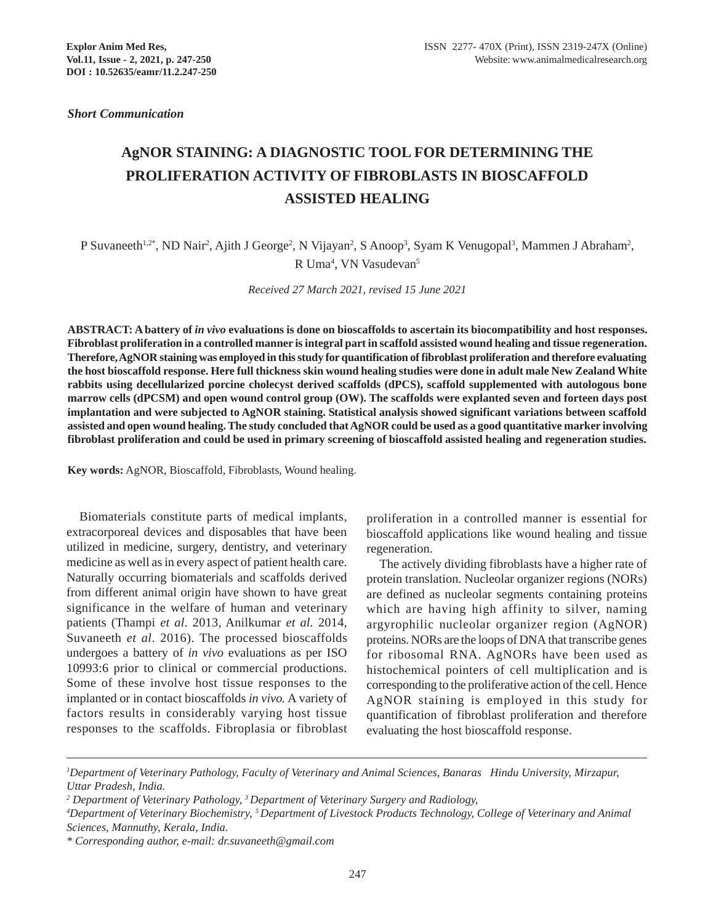*Short Communication*

# **AgNOR STAINING: A DIAGNOSTIC TOOL FOR DETERMINING THE PROLIFERATION ACTIVITY OF FIBROBLASTS IN BIOSCAFFOLD ASSISTED HEALING**

P Suvaneeth<sup>1,2\*</sup>, ND Nair<sup>2</sup>, Ajith J George<sup>2</sup>, N Vijayan<sup>2</sup>, S Anoop<sup>3</sup>, Syam K Venugopal<sup>3</sup>, Mammen J Abraham<sup>2</sup>, R Uma<sup>4</sup>, VN Vasudevan<sup>5</sup>

*Received 27 March 2021, revised 15 June 2021*

**ABSTRACT: A battery of** *in vivo* **evaluations is done on bioscaffolds to ascertain its biocompatibility and host responses. Fibroblast proliferation in a controlled manner is integral part in scaffold assisted wound healing and tissue regeneration. Therefore, AgNOR staining was employed in this study for quantification of fibroblast proliferation and therefore evaluating the host bioscaffold response. Here full thickness skin wound healing studies were done in adult male New Zealand White rabbits using decellularized porcine cholecyst derived scaffolds (dPCS), scaffold supplemented with autologous bone marrow cells (dPCSM) and open wound control group (OW). The scaffolds were explanted seven and forteen days post implantation and were subjected to AgNOR staining. Statistical analysis showed significant variations between scaffold assisted and open wound healing. The study concluded that AgNOR could be used as a good quantitative marker involving fibroblast proliferation and could be used in primary screening of bioscaffold assisted healing and regeneration studies.**

**Key words:** AgNOR, Bioscaffold, Fibroblasts, Wound healing.

Biomaterials constitute parts of medical implants, extracorporeal devices and disposables that have been utilized in medicine, surgery, dentistry, and veterinary medicine as well as in every aspect of patient health care. Naturally occurring biomaterials and scaffolds derived from different animal origin have shown to have great significance in the welfare of human and veterinary patients (Thampi *et al*. 2013, Anilkumar *et al.* 2014, Suvaneeth *et al*. 2016). The processed bioscaffolds undergoes a battery of *in vivo* evaluations as per ISO 10993:6 prior to clinical or commercial productions. Some of these involve host tissue responses to the implanted or in contact bioscaffolds *in vivo.* A variety of factors results in considerably varying host tissue responses to the scaffolds. Fibroplasia or fibroblast proliferation in a controlled manner is essential for bioscaffold applications like wound healing and tissue regeneration.

The actively dividing fibroblasts have a higher rate of protein translation. Nucleolar organizer regions (NORs) are defined as nucleolar segments containing proteins which are having high affinity to silver, naming argyrophilic nucleolar organizer region (AgNOR) proteins. NORs are the loops of DNA that transcribe genes for ribosomal RNA. AgNORs have been used as histochemical pointers of cell multiplication and is corresponding to the proliferative action of the cell. Hence AgNOR staining is employed in this study for quantification of fibroblast proliferation and therefore evaluating the host bioscaffold response.

*<sup>1</sup> Department of Veterinary Pathology, Faculty of Veterinary and Animal Sciences, Banaras Hindu University, Mirzapur, Uttar Pradesh, India.*

*<sup>2</sup> Department of Veterinary Pathology, 3 Department of Veterinary Surgery and Radiology,*

*<sup>4</sup> Department of Veterinary Biochemistry, 5 Department of Livestock Products Technology, College of Veterinary and Animal Sciences, Mannuthy, Kerala, India.*

*<sup>\*</sup> Corresponding author, e-mail: dr.suvaneeth@gmail.com*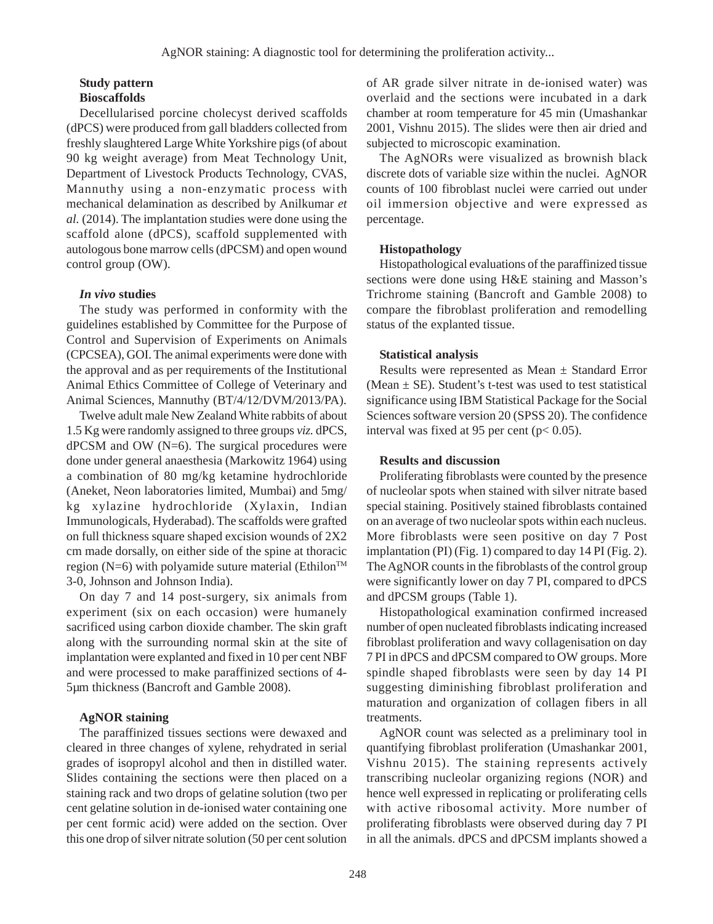#### **Study pattern Bioscaffolds**

Decellularised porcine cholecyst derived scaffolds (dPCS) were produced from gall bladders collected from freshly slaughtered Large White Yorkshire pigs (of about 90 kg weight average) from Meat Technology Unit, Department of Livestock Products Technology, CVAS, Mannuthy using a non-enzymatic process with mechanical delamination as described by Anilkumar *et al.* (2014). The implantation studies were done using the scaffold alone (dPCS), scaffold supplemented with autologous bone marrow cells (dPCSM) and open wound control group (OW).

## *In vivo* **studies**

The study was performed in conformity with the guidelines established by Committee for the Purpose of Control and Supervision of Experiments on Animals (CPCSEA), GOI. The animal experiments were done with the approval and as per requirements of the Institutional Animal Ethics Committee of College of Veterinary and Animal Sciences, Mannuthy (BT/4/12/DVM/2013/PA).

Twelve adult male New Zealand White rabbits of about 1.5 Kg were randomly assigned to three groups *viz.* dPCS,  $d$ PCSM and OW (N=6). The surgical procedures were done under general anaesthesia (Markowitz 1964) using a combination of 80 mg/kg ketamine hydrochloride (Aneket, Neon laboratories limited, Mumbai) and 5mg/ kg xylazine hydrochloride (Xylaxin, Indian Immunologicals, Hyderabad). The scaffolds were grafted on full thickness square shaped excision wounds of 2X2 cm made dorsally, on either side of the spine at thoracic region (N=6) with polyamide suture material (Ethilon<sup>TM</sup> 3-0, Johnson and Johnson India).

On day 7 and 14 post-surgery, six animals from experiment (six on each occasion) were humanely sacrificed using carbon dioxide chamber. The skin graft along with the surrounding normal skin at the site of implantation were explanted and fixed in 10 per cent NBF and were processed to make paraffinized sections of 4- 5µm thickness (Bancroft and Gamble 2008).

# **AgNOR staining**

The paraffinized tissues sections were dewaxed and cleared in three changes of xylene, rehydrated in serial grades of isopropyl alcohol and then in distilled water. Slides containing the sections were then placed on a staining rack and two drops of gelatine solution (two per cent gelatine solution in de-ionised water containing one per cent formic acid) were added on the section. Over this one drop of silver nitrate solution (50 per cent solution of AR grade silver nitrate in de-ionised water) was overlaid and the sections were incubated in a dark chamber at room temperature for 45 min (Umashankar 2001, Vishnu 2015). The slides were then air dried and subjected to microscopic examination.

The AgNORs were visualized as brownish black discrete dots of variable size within the nuclei. AgNOR counts of 100 fibroblast nuclei were carried out under oil immersion objective and were expressed as percentage.

## **Histopathology**

Histopathological evaluations of the paraffinized tissue sections were done using H&E staining and Masson's Trichrome staining (Bancroft and Gamble 2008) to compare the fibroblast proliferation and remodelling status of the explanted tissue.

## **Statistical analysis**

Results were represented as Mean ± Standard Error (Mean  $\pm$  SE). Student's t-test was used to test statistical significance using IBM Statistical Package for the Social Sciences software version 20 (SPSS 20). The confidence interval was fixed at 95 per cent ( $p < 0.05$ ).

## **Results and discussion**

Proliferating fibroblasts were counted by the presence of nucleolar spots when stained with silver nitrate based special staining. Positively stained fibroblasts contained on an average of two nucleolar spots within each nucleus. More fibroblasts were seen positive on day 7 Post implantation (PI) (Fig. 1) compared to day 14 PI (Fig. 2). The AgNOR counts in the fibroblasts of the control group were significantly lower on day 7 PI, compared to dPCS and dPCSM groups (Table 1).

Histopathological examination confirmed increased number of open nucleated fibroblasts indicating increased fibroblast proliferation and wavy collagenisation on day 7 PI in dPCS and dPCSM compared to OW groups. More spindle shaped fibroblasts were seen by day 14 PI suggesting diminishing fibroblast proliferation and maturation and organization of collagen fibers in all treatments.

AgNOR count was selected as a preliminary tool in quantifying fibroblast proliferation (Umashankar 2001, Vishnu 2015). The staining represents actively transcribing nucleolar organizing regions (NOR) and hence well expressed in replicating or proliferating cells with active ribosomal activity. More number of proliferating fibroblasts were observed during day 7 PI in all the animals. dPCS and dPCSM implants showed a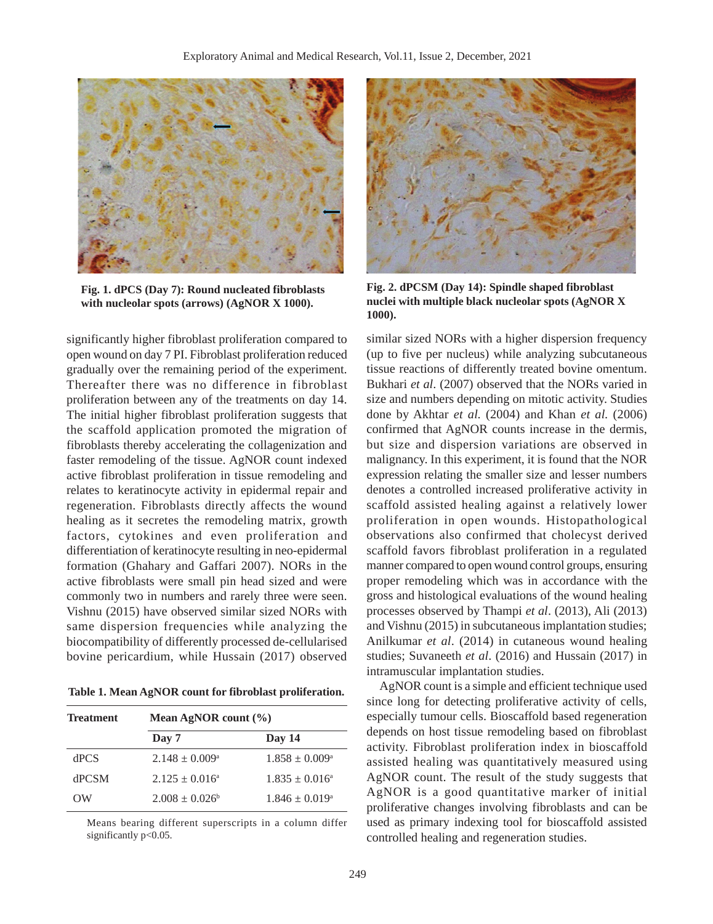

**Fig. 1. dPCS (Day 7): Round nucleated fibroblasts with nucleolar spots (arrows) (AgNOR X 1000).**

significantly higher fibroblast proliferation compared to open wound on day 7 PI. Fibroblast proliferation reduced gradually over the remaining period of the experiment. Thereafter there was no difference in fibroblast proliferation between any of the treatments on day 14. The initial higher fibroblast proliferation suggests that the scaffold application promoted the migration of fibroblasts thereby accelerating the collagenization and faster remodeling of the tissue. AgNOR count indexed active fibroblast proliferation in tissue remodeling and relates to keratinocyte activity in epidermal repair and regeneration. Fibroblasts directly affects the wound healing as it secretes the remodeling matrix, growth factors, cytokines and even proliferation and differentiation of keratinocyte resulting in neo-epidermal formation (Ghahary and Gaffari 2007). NORs in the active fibroblasts were small pin head sized and were commonly two in numbers and rarely three were seen. Vishnu (2015) have observed similar sized NORs with same dispersion frequencies while analyzing the biocompatibility of differently processed de-cellularised bovine pericardium, while Hussain (2017) observed

**Table 1. Mean AgNOR count for fibroblast proliferation.**

| <b>Treatment</b> | Mean AgNOR count $(\% )$  |                           |
|------------------|---------------------------|---------------------------|
|                  | Day 7                     | Day 14                    |
| dPCS             | $2.148 \pm 0.009^{\circ}$ | $1.858 \pm 0.009^{\circ}$ |
| <b>dPCSM</b>     | $2.125 \pm 0.016^a$       | $1.835 \pm 0.016^{\circ}$ |
| OW               | $2.008 + 0.026^b$         | $1.846 \pm 0.019^{\circ}$ |

Means bearing different superscripts in a column differ significantly p<0.05.



**Fig. 2. dPCSM (Day 14): Spindle shaped fibroblast nuclei with multiple black nucleolar spots (AgNOR X 1000).**

similar sized NORs with a higher dispersion frequency (up to five per nucleus) while analyzing subcutaneous tissue reactions of differently treated bovine omentum. Bukhari *et al*. (2007) observed that the NORs varied in size and numbers depending on mitotic activity. Studies done by Akhtar *et al.* (2004) and Khan *et al.* (2006) confirmed that AgNOR counts increase in the dermis, but size and dispersion variations are observed in malignancy. In this experiment, it is found that the NOR expression relating the smaller size and lesser numbers denotes a controlled increased proliferative activity in scaffold assisted healing against a relatively lower proliferation in open wounds. Histopathological observations also confirmed that cholecyst derived scaffold favors fibroblast proliferation in a regulated manner compared to open wound control groups, ensuring proper remodeling which was in accordance with the gross and histological evaluations of the wound healing processes observed by Thampi *et al*. (2013), Ali (2013) and Vishnu (2015) in subcutaneous implantation studies; Anilkumar *et al*. (2014) in cutaneous wound healing studies; Suvaneeth *et al*. (2016) and Hussain (2017) in intramuscular implantation studies.

AgNOR count is a simple and efficient technique used since long for detecting proliferative activity of cells, especially tumour cells. Bioscaffold based regeneration depends on host tissue remodeling based on fibroblast activity. Fibroblast proliferation index in bioscaffold assisted healing was quantitatively measured using AgNOR count. The result of the study suggests that AgNOR is a good quantitative marker of initial proliferative changes involving fibroblasts and can be used as primary indexing tool for bioscaffold assisted controlled healing and regeneration studies.